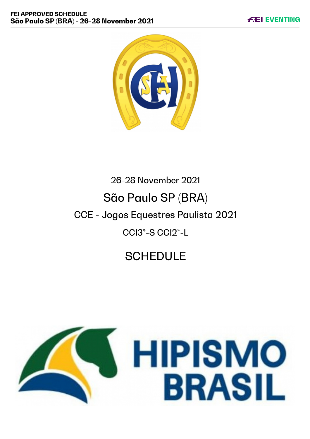

# 26-28 November 2021 São Paulo SP (BRA) CCE - Jogos Equestres Paulista 2021 CCI3\*-S CCI2\*-L

# **SCHEDULE**

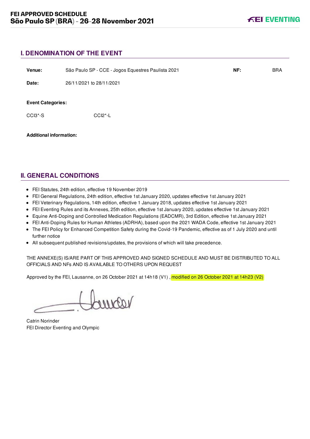# **I. DENOMINATION OF THE EVENT**

| Venue:                                                       | São Paulo SP - CCE - Jogos Equestres Paulista 2021 | NF: | <b>BRA</b> |
|--------------------------------------------------------------|----------------------------------------------------|-----|------------|
| Date:                                                        | 26/11/2021 to 28/11/2021                           |     |            |
| <b>Event Categories:</b><br>CCI <sub>3</sub> <sup>*</sup> -S | $CCI2^* - L$                                       |     |            |
| <b>Additional information:</b>                               |                                                    |     |            |

# **II. GENERAL CONDITIONS**

- FEI Statutes, 24th edition, effective 19 November 2019
- FEI General Regulations, 24th edition, effective 1st January 2020, updates effective 1st January 2021
- FEI Veterinary Regulations, 14th edition, effective 1 January 2018, updates effective 1st January 2021
- FEI Eventing Rules and its Annexes, 25th edition, effective 1st January 2020, updates effective 1st January 2021
- Equine Anti-Doping and Controlled Medication Regulations (EADCMR), 3rd Edition, effective 1st January 2021
- FEI Anti-Doping Rules for Human Athletes (ADRHA), based upon the 2021 WADA Code, effective 1st January 2021
- The FEI Policy for Enhanced Competition Safety during the Covid-19 Pandemic, effective as of 1 July 2020 and until further notice
- All subsequent published revisions/updates, the provisions of which will take precedence.

THE ANNEXE(S) IS/ARE PART OF THIS APPROVED AND SIGNED SCHEDULE AND MUST BE DISTRIBUTED TO ALL OFFICIALS AND NFs AND IS AVAILABLE TO OTHERS UPON REQUEST

Approved by the FEI, Lausanne, on 26 October 2021 at 14h18 (V1), modified on 26 October 2021 at 14h23 (V2)

voorno

Catrin Norinder FEI Director Eventing and Olympic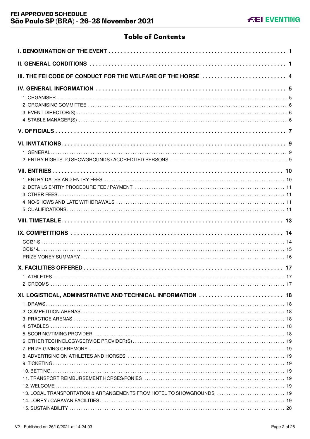# **Table of Contents**

| III. THE FEI CODE OF CONDUCT FOR THE WELFARE OF THE HORSE  4          |  |
|-----------------------------------------------------------------------|--|
|                                                                       |  |
|                                                                       |  |
|                                                                       |  |
|                                                                       |  |
|                                                                       |  |
|                                                                       |  |
|                                                                       |  |
|                                                                       |  |
|                                                                       |  |
| XI. LOGISTICAL, ADMINISTRATIVE AND TECHNICAL INFORMATION  18          |  |
|                                                                       |  |
|                                                                       |  |
|                                                                       |  |
| 13. LOCAL TRANSPORTATION & ARRANGEMENTS FROM HOTEL TO SHOWGROUNDS  19 |  |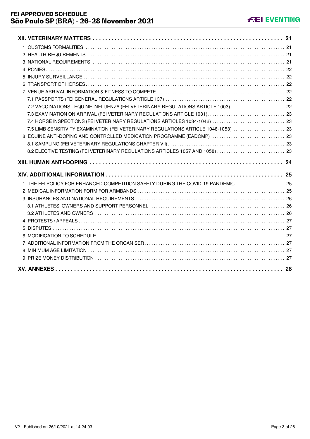| 7.2 VACCINATIONS - EQUINE INFLUENZA (FEI VETERINARY REGULATIONS ARTICLE 1003)  22   |  |
|-------------------------------------------------------------------------------------|--|
|                                                                                     |  |
|                                                                                     |  |
| 7.5 LIMB SENSITIVITY EXAMINATION (FEI VETERINARY REGULATIONS ARTICLE 1048-1053)  23 |  |
| 8. EQUINE ANTI-DOPING AND CONTROLLED MEDICATION PROGRAMME (EADCMP)  23              |  |
|                                                                                     |  |
| 8.2 ELECTIVE TESTING (FEI VETERINARY REGULATIONS ARTICLES 1057 AND 1058)  23        |  |
|                                                                                     |  |
|                                                                                     |  |
|                                                                                     |  |
| 1. THE FEI POLICY FOR ENHANCED COMPETITION SAFETY DURING THE COVID-19 PANDEMIC  25  |  |
|                                                                                     |  |
|                                                                                     |  |
|                                                                                     |  |
|                                                                                     |  |
|                                                                                     |  |
|                                                                                     |  |
|                                                                                     |  |
|                                                                                     |  |
|                                                                                     |  |
|                                                                                     |  |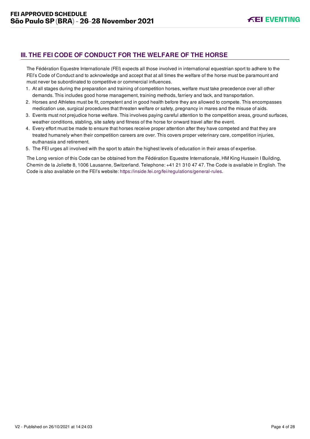# <span id="page-4-0"></span>**III. THE FEI CODE OF CONDUCT FOR THE WELFARE OF THE HORSE**

The Fédération Equestre Internationale (FEI) expects all those involved in international equestrian sport to adhere to the FEI's Code of Conduct and to acknowledge and accept that at all times the welfare of the horse must be paramount and must never be subordinated to competitive or commercial influences.

- 1. At all stages during the preparation and training of competition horses, welfare must take precedence over all other demands. This includes good horse management, training methods, farriery and tack, and transportation.
- 2. Horses and Athletes must be fit, competent and in good health before they are allowed to compete. This encompasses medication use, surgical procedures that threaten welfare or safety, pregnancy in mares and the misuse of aids.
- 3. Events must not prejudice horse welfare. This involves paying careful attention to the competition areas, ground surfaces, weather conditions, stabling, site safety and fitness of the horse for onward travel after the event.
- 4. Every effort must be made to ensure that horses receive proper attention after they have competed and that they are treated humanely when their competition careers are over. This covers proper veterinary care, competition injuries, euthanasia and retirement.
- 5. The FEI urges all involved with the sport to attain the highest levels of education in their areas of expertise.

The Long version of this Code can be obtained from the Fédération Equestre Internationale, HM King Hussein I Building, Chemin de la Joliette 8, 1006 Lausanne, Switzerland. Telephone: +41 21 310 47 47. The Code is available in English. The Code is also available on the FEI's website:<https://inside.fei.org/fei/regulations/general-rules>.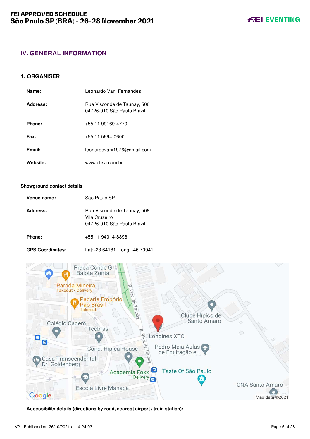# <span id="page-5-0"></span>**IV. GENERAL INFORMATION**

## <span id="page-5-1"></span>**1. ORGANISER**

| Name:    | Leonardo Vani Fernandes                                   |
|----------|-----------------------------------------------------------|
| Address: | Rua Visconde de Taunay, 508<br>04726-010 São Paulo Brazil |
| Phone:   | +55 11 99169-4770                                         |
| Fax:     | +55 11 5694-0600                                          |
| Email:   | leonardovani1976@gmail.com                                |
| Website: | www.chsa.com.br                                           |

#### **Showground contact details**

| Venue name: | São Paulo SP                                                               |
|-------------|----------------------------------------------------------------------------|
| Address:    | Rua Visconde de Taunay, 508<br>Vila Cruzeiro<br>04726-010 São Paulo Brazil |
| Phone:      | +55 11 94014-8898                                                          |

**GPS Coordinates:** Lat: -23.64181, Long: -46.70941



**Accessibility details (directions by road, nearest airport / train station):**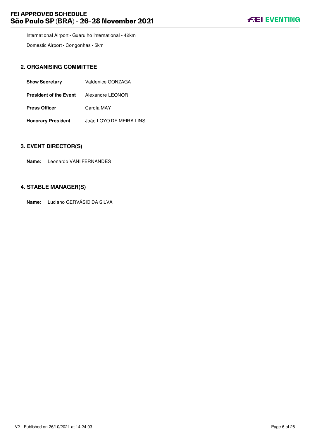# **FEI APPROVED SCHEDULE São Paulo SP (BRA) - 26-28 November 2021**



International Airport - Guarulho International - 42km

Domestic Airport - Congonhas - 5km

# <span id="page-6-0"></span>**2. ORGANISING COMMITTEE**

| <b>Show Secretary</b>         | Valdenice GONZAGA       |
|-------------------------------|-------------------------|
| <b>President of the Event</b> | Alexandre LEONOR        |
| <b>Press Officer</b>          | Carola MAY              |
| <b>Honorary President</b>     | João LOYO DE MEIRA LINS |

#### <span id="page-6-1"></span>**3. EVENT DIRECTOR(S)**

**Name:** Leonardo VANI FERNANDES

# <span id="page-6-2"></span>**4. STABLE MANAGER(S)**

**Name:** Luciano GERVÁSIO DA SILVA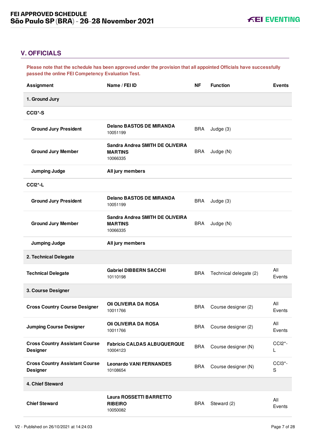# <span id="page-7-0"></span>**V. OFFICIALS**

**Please note that the schedule has been approved under the provision that all appointed Officials have successfully passed the online FEI Competency Evaluation Test.**

| <b>Assignment</b>                                        | Name / FEI ID                                                 | ΝF         | <b>Function</b>        | <b>Events</b>                        |
|----------------------------------------------------------|---------------------------------------------------------------|------------|------------------------|--------------------------------------|
| 1. Ground Jury                                           |                                                               |            |                        |                                      |
| <b>CCI3*-S</b>                                           |                                                               |            |                        |                                      |
| <b>Ground Jury President</b>                             | <b>Delano BASTOS DE MIRANDA</b><br>10051199                   | <b>BRA</b> | Judge (3)              |                                      |
| <b>Ground Jury Member</b>                                | Sandra Andrea SMITH DE OLIVEIRA<br><b>MARTINS</b><br>10066335 | <b>BRA</b> | Judge (N)              |                                      |
| <b>Jumping Judge</b>                                     | All jury members                                              |            |                        |                                      |
| <b>CCI2*-L</b>                                           |                                                               |            |                        |                                      |
| <b>Ground Jury President</b>                             | <b>Delano BASTOS DE MIRANDA</b><br>10051199                   | <b>BRA</b> | Judge (3)              |                                      |
| <b>Ground Jury Member</b>                                | Sandra Andrea SMITH DE OLIVEIRA<br><b>MARTINS</b><br>10066335 | <b>BRA</b> | Judge (N)              |                                      |
| <b>Jumping Judge</b>                                     | All jury members                                              |            |                        |                                      |
| 2. Technical Delegate                                    |                                                               |            |                        |                                      |
| <b>Technical Delegate</b>                                | <b>Gabriel DIBBERN SACCHI</b><br>10110198                     | <b>BRA</b> | Technical delegate (2) | All<br>Events                        |
| 3. Course Designer                                       |                                                               |            |                        |                                      |
| <b>Cross Country Course Designer</b>                     | <b>OII OLIVEIRA DA ROSA</b><br>10011766                       | <b>BRA</b> | Course designer (2)    | All<br>Events                        |
| <b>Jumping Course Designer</b>                           | <b>OII OLIVEIRA DA ROSA</b><br>10011766                       | <b>BRA</b> | Course designer (2)    | All<br>Events                        |
| <b>Cross Country Assistant Course</b><br><b>Designer</b> | <b>Fabricio CALDAS ALBUQUERQUE</b><br>10004123                | <b>BRA</b> | Course designer (N)    | CCI <sub>2</sub> <sup>*</sup> -<br>L |
| <b>Cross Country Assistant Course</b><br><b>Designer</b> | <b>Leonardo VANI FERNANDES</b><br>10108654                    | <b>BRA</b> | Course designer (N)    | CCI3*-<br>${\mathsf S}$              |
| 4. Chief Steward                                         |                                                               |            |                        |                                      |
| <b>Chief Steward</b>                                     | Laura ROSSETTI BARRETTO<br><b>RIBEIRO</b><br>10050082         | <b>BRA</b> | Steward (2)            | All<br>Events                        |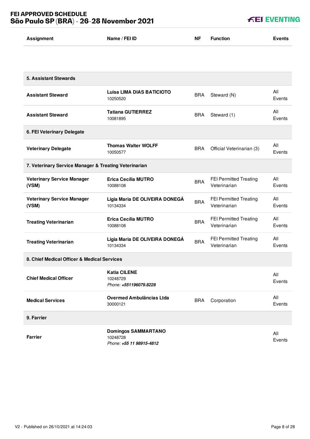# **FEI APPROVED SCHEDULE São Paulo SP (BRA) - 26-28 November 2021**

| <b>Assignment</b>                                     | Name / FEI ID                                                      | ΝF         | <b>Function</b>                               | <b>Events</b> |
|-------------------------------------------------------|--------------------------------------------------------------------|------------|-----------------------------------------------|---------------|
|                                                       |                                                                    |            |                                               |               |
| <b>5. Assistant Stewards</b>                          |                                                                    |            |                                               |               |
| <b>Assistant Steward</b>                              | <b>Luisa LIMA DIAS BATICIOTO</b><br>10250520                       | <b>BRA</b> | Steward (N)                                   | All<br>Events |
| <b>Assistant Steward</b>                              | <b>Tatiana GUTIERREZ</b><br>10081895                               | <b>BRA</b> | Steward (1)                                   | All<br>Events |
| 6. FEI Veterinary Delegate                            |                                                                    |            |                                               |               |
| <b>Veterinary Delegate</b>                            | <b>Thomas Walter WOLFF</b><br>10050577                             | <b>BRA</b> | Official Veterinarian (3)                     | All<br>Events |
| 7. Veterinary Service Manager & Treating Veterinarian |                                                                    |            |                                               |               |
| <b>Veterinary Service Manager</b><br>(VSM)            | Erica Cecília MUTRO<br>10088108                                    | <b>BRA</b> | FEI Permitted Treating<br>Veterinarian        | All<br>Events |
| <b>Veterinary Service Manager</b><br>(VSM)            | Ligia Maria DE OLIVEIRA DONEGÁ<br>10134334                         | <b>BRA</b> | FEI Permitted Treating<br>Veterinarian        | All<br>Events |
| <b>Treating Veterinarian</b>                          | <b>Erica Cecília MUTRO</b><br>10088108                             | <b>BRA</b> | <b>FEI Permitted Treating</b><br>Veterinarian | All<br>Events |
| <b>Treating Veterinarian</b>                          | Ligia Maria DE OLIVEIRA DONEGÁ<br>10134334                         | <b>BRA</b> | <b>FEI Permitted Treating</b><br>Veterinarian | All<br>Events |
| 8. Chief Medical Officer & Medical Services           |                                                                    |            |                                               |               |
| <b>Chief Medical Officer</b>                          | <b>Katia CILENE</b><br>10248729<br>Phone: +551196079.8228          |            |                                               | All<br>Events |
| <b>Medical Services</b>                               | Overmed Ambulâncias Ltda<br>30000121                               | <b>BRA</b> | Corporation                                   | All<br>Events |
| 9. Farrier                                            |                                                                    |            |                                               |               |
| <b>Farrier</b>                                        | <b>Domingos SAMMARTANO</b><br>10248728<br>Phone: +55 11 98915-4812 |            |                                               | All<br>Events |

**KEI EVENTING**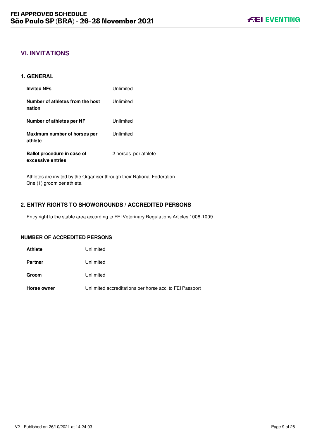# <span id="page-9-0"></span>**VI. INVITATIONS**

#### <span id="page-9-1"></span>**1. GENERAL**

| <b>Invited NFs</b>                               | Unlimited            |
|--------------------------------------------------|----------------------|
| Number of athletes from the host<br>nation       | Unlimited            |
| Number of athletes per NF                        | Unlimited            |
| Maximum number of horses per<br>athlete          | Unlimited            |
| Ballot procedure in case of<br>excessive entries | 2 horses per athlete |

Athletes are invited by the Organiser through their National Federation. One (1) groom per athlete.

## <span id="page-9-2"></span>**2. ENTRY RIGHTS TO SHOWGROUNDS / ACCREDITED PERSONS**

Entry right to the stable area according to FEI Veterinary Regulations Articles 1008-1009

#### **NUMBER OF ACCREDITED PERSONS**

| <b>Athlete</b> | Unlimited                                               |
|----------------|---------------------------------------------------------|
| <b>Partner</b> | Unlimited                                               |
| Groom          | Unlimited                                               |
| Horse owner    | Unlimited accreditations per horse acc. to FEI Passport |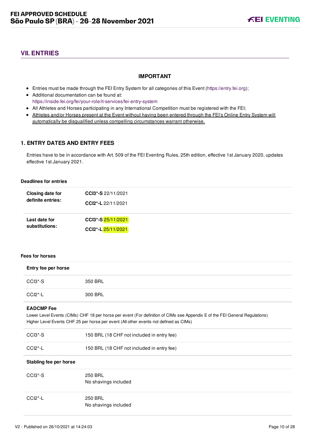# <span id="page-10-0"></span>**VII. ENTRIES**

## **IMPORTANT**

- Entries must be made through the FEI Entry System for all categories of this Event ([https://entry.fei.org\)](https://entry.fei.org);
- Additional documentation can be found at: <https://inside.fei.org/fei/your-role/it-services/fei-entry-system>
- All Athletes and Horses participating in any International Competition must be registered with the FEI;
- Athletes and/or Horses present at the Event without having been entered through the FEI's Online Entry System will automatically be disqualified unless compelling circumstances warrant otherwise.

## <span id="page-10-1"></span>**1. ENTRY DATES AND ENTRY FEES**

Entries have to be in accordance with Art. 509 of the FEI Eventing Rules, 25th edition, effective 1st January 2020, updates effective 1st January 2021.

#### **Deadlines for entries**

| Closing date for  | CCI3*-S 22/11/2021 |  |
|-------------------|--------------------|--|
| definite entries: | CCI2*-L 22/11/2021 |  |
| Last date for     | CCI3*-S 25/11/2021 |  |
| substitutions:    | CCI2*-L25/11/2021  |  |

#### **Fees for horses**

| Entry fee per horse    |                                                                                                                                                                                                                      |
|------------------------|----------------------------------------------------------------------------------------------------------------------------------------------------------------------------------------------------------------------|
| $CCI3*-S$              | 350 BRL                                                                                                                                                                                                              |
| $CCI2$ <sup>*</sup> -L | 300 BRL                                                                                                                                                                                                              |
| <b>EADCMP</b> Fee      | Lower Level Events (CIMs) CHF 18 per horse per event (For definition of CIMs see Appendix E of the FEI General Regulations)<br>Higher Level Events CHF 25 per horse per event (All other events not defined as CIMs) |
| $CCI3*-S$              | 150 BRL (18 CHF not included in entry fee)                                                                                                                                                                           |
| $CCI2$ <sup>*</sup> -L | 150 BRL (18 CHF not included in entry fee)                                                                                                                                                                           |
| Stabling fee per horse |                                                                                                                                                                                                                      |
| $CCI3*-S$              | 250 BRL<br>No shavings included                                                                                                                                                                                      |
| $CCI2$ <sup>*</sup> -L | 250 BRL<br>No shavings included                                                                                                                                                                                      |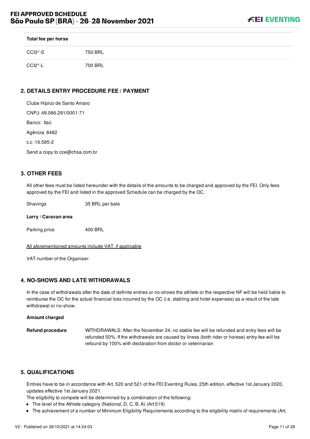

| Total fee per horse              |         |
|----------------------------------|---------|
| CCI3*-S                          | 750 BRL |
| CCI <sub>2</sub> <sup>*</sup> -L | 700 BRL |

# <span id="page-11-0"></span>**2. DETAILS ENTRY PROCEDURE FEE / PAYMENT**

| Clube Hípico de Santo Amaro    |
|--------------------------------|
| CNPJ: 49.086.291/0001-71       |
| Banco: Itaú                    |
| Agência: 8482                  |
| c.c :16.585-2                  |
| Send a copy to cce@chsa.com.br |

## <span id="page-11-1"></span>**3. OTHER FEES**

All other fees must be listed hereunder with the details of the amounts to be charged and approved by the FEI. Only fees approved by the FEI and listed in the approved Schedule can be charged by the OC.

Shavings 35 BRL per bale

#### **Lorry / Caravan area**

Parking price 400 BRL

All aforementioned amounts include VAT, if applicable

VAT number of the Organiser:

#### <span id="page-11-2"></span>**4. NO-SHOWS AND LATE WITHDRAWALS**

In the case of withdrawals after the date of definite entries or no-shows the athlete or the respective NF will be held liable to reimburse the OC for the actual financial loss incurred by the OC (i.e. stabling and hotel expenses) as a result of the late withdrawal or no-show.

#### **Amount charged**

**Refund procedure** WITHDRAWALS: After the November 24, no stable fee will be refunded and entry fees will be refunded 50%. If the withdrawals are caused by ilness (both rider or horese) entry fee will be refound by 100% with declaration from doctor or veterinarian

#### <span id="page-11-3"></span>**5. QUALIFICATIONS**

Entries have to be in accordance with Art. 520 and 521 of the FEI Eventing Rules, 25th edition, effective 1st January 2020, updates effective 1st January 2021.

The eligibility to compete will be determined by a combination of the following:

- The level of the Athlete category (National, D, C, B, A) (Art.519)
- The achievement of a number of Minimum Eligibility Requirements according to the eligibility matrix of requirements (Art.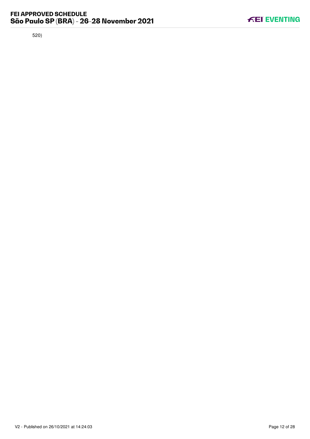520)

**KEI EVENTING**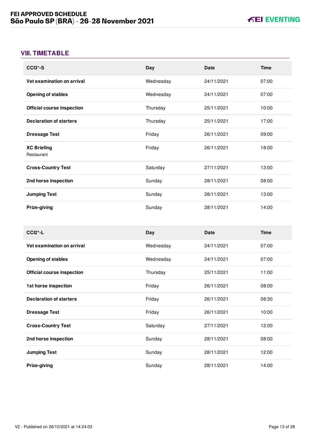# <span id="page-13-0"></span>**VIII. TIMETABLE**

| CCI <sub>3</sub> *-S              | Day       | <b>Date</b> | <b>Time</b> |
|-----------------------------------|-----------|-------------|-------------|
| Vet examination on arrival        | Wednesday | 24/11/2021  | 07:00       |
| <b>Opening of stables</b>         | Wednesday | 24/11/2021  | 07:00       |
| <b>Official course inspection</b> | Thursday  | 25/11/2021  | 10:00       |
| <b>Declaration of starters</b>    | Thursday  | 25/11/2021  | 17:00       |
| <b>Dressage Test</b>              | Friday    | 26/11/2021  | 09:00       |
| <b>XC Briefing</b><br>Restaurant  | Friday    | 26/11/2021  | 18:00       |
| <b>Cross-Country Test</b>         | Saturday  | 27/11/2021  | 13:00       |
| 2nd horse inspection              | Sunday    | 28/11/2021  | 08:00       |
| <b>Jumping Test</b>               | Sunday    | 28/11/2021  | 13:00       |
| Prize-giving                      | Sunday    | 28/11/2021  | 14:00       |

| $CCI2*-L$                      | Day       | Date       | <b>Time</b> |
|--------------------------------|-----------|------------|-------------|
| Vet examination on arrival     | Wednesday | 24/11/2021 | 07:00       |
| <b>Opening of stables</b>      | Wednesday | 24/11/2021 | 07:00       |
| Official course inspection     | Thursday  | 25/11/2021 | 11:00       |
| 1st horse inspection           | Friday    | 26/11/2021 | 08:00       |
| <b>Declaration of starters</b> | Friday    | 26/11/2021 | 08:30       |
| <b>Dressage Test</b>           | Friday    | 26/11/2021 | 10:00       |
| <b>Cross-Country Test</b>      | Saturday  | 27/11/2021 | 12:00       |
| 2nd horse inspection           | Sunday    | 28/11/2021 | 08:00       |
| <b>Jumping Test</b>            | Sunday    | 28/11/2021 | 12:00       |
| Prize-giving                   | Sunday    | 28/11/2021 | 14:00       |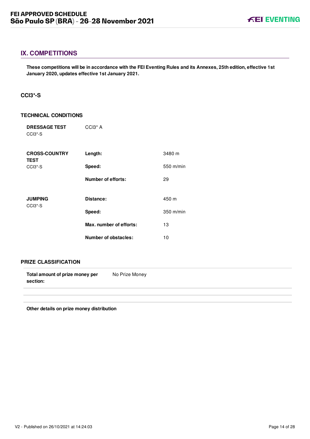<span id="page-14-0"></span>**These competitions will be in accordance with the FEI Eventing Rules and its Annexes, 25th edition, effective 1st January 2020, updates effective 1st January 2021.**

### <span id="page-14-1"></span>**CCI3\*-S**

#### **TECHNICAL CONDITIONS**

| <b>DRESSAGE TEST</b><br>CCI <sub>3</sub> <sup>*</sup> -S | CCI <sub>3</sub> <sup>*</sup> A |             |
|----------------------------------------------------------|---------------------------------|-------------|
| <b>CROSS-COUNTRY</b><br><b>TEST</b>                      | Length:                         | 3480 m      |
| CCI <sub>3</sub> <sup>*</sup> -S                         | Speed:                          | 550 m/min   |
|                                                          | <b>Number of efforts:</b>       | 29          |
| <b>JUMPING</b><br>CCI <sub>3</sub> <sup>*</sup> -S       | Distance:                       | 450 m       |
|                                                          | Speed:                          | $350$ m/min |
|                                                          | Max. number of efforts:         | 13          |
|                                                          | <b>Number of obstacles:</b>     | 10          |

#### **PRIZE CLASSIFICATION**

| Total amount of prize money per | No Prize Money |
|---------------------------------|----------------|
| section:                        |                |

**Other details on prize money distribution**

**FEI EVENTING**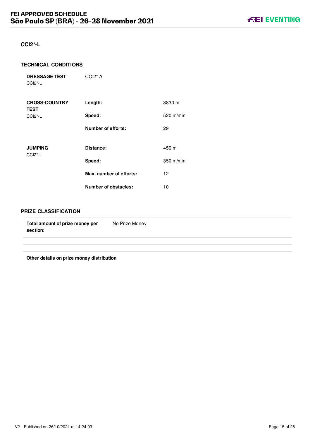## <span id="page-15-0"></span>**CCI2\*-L**

#### **TECHNICAL CONDITIONS**

**DRESSAGE TEST** CCI2\*-L CCI2\* A

| <b>CROSS-COUNTRY</b><br><b>TEST</b>                | Length:                     | 3830 m      |
|----------------------------------------------------|-----------------------------|-------------|
| $CCI2$ *-L                                         | Speed:                      | 520 m/min   |
|                                                    | Number of efforts:          | 29          |
|                                                    |                             |             |
| <b>JUMPING</b><br>CCI <sub>2</sub> <sup>*</sup> -L | Distance:                   | 450 m       |
|                                                    | Speed:                      | $350$ m/min |
|                                                    | Max. number of efforts:     | 12          |
|                                                    | <b>Number of obstacles:</b> | 10          |

#### **PRIZE CLASSIFICATION**

| Total amount of prize money per<br>section: | No Prize Money |
|---------------------------------------------|----------------|
|                                             |                |
|                                             |                |

**Other details on prize money distribution**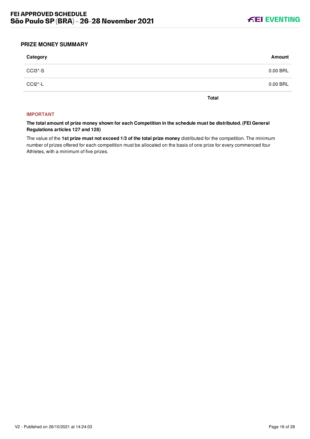

#### <span id="page-16-0"></span>**PRIZE MONEY SUMMARY**

| CCI3*-S                          | 0.00 BRL |
|----------------------------------|----------|
| CCI <sub>2</sub> <sup>*</sup> -L | 0.00 BRL |

**Total**

#### **IMPORTANT**

**The total amount of prize money shown for each Competition in the schedule must be distributed. (FEI General Regulations articles 127 and 128)**

The value of the **1st prize must not exceed 1/3 of the total prize money** distributed for the competition. The minimum number of prizes offered for each competition must be allocated on the basis of one prize for every commenced four Athletes, with a minimum of five prizes.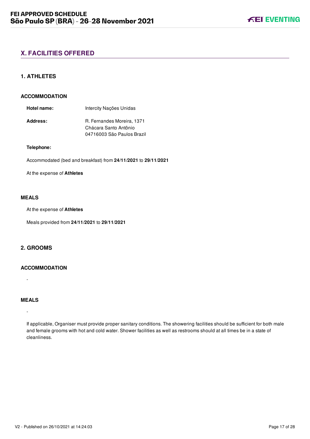# <span id="page-17-0"></span>**X. FACILITIES OFFERED**

#### <span id="page-17-1"></span>**1. ATHLETES**

#### **ACCOMMODATION**

| Hotel name:     | Intercity Nações Unidas    |
|-----------------|----------------------------|
| <b>Address:</b> | R. Fernandes Moreira, 1371 |
|                 | Chácara Santo Antônio      |
|                 | 04716003 São Paulos Brazil |

#### **Telephone:**

Accommodated (bed and breakfast) from **24/11/2021** to **29/11/2021**

At the expense of **Athletes**

## **MEALS**

At the expense of **Athletes**

Meals provided from **24/11/2021** to **29/11/2021**

## <span id="page-17-2"></span>**2. GROOMS**

#### **ACCOMMODATION**

**MEALS**

-

-

If applicable, Organiser must provide proper sanitary conditions. The showering facilities should be sufficient for both male and female grooms with hot and cold water. Shower facilities as well as restrooms should at all times be in a state of cleanliness.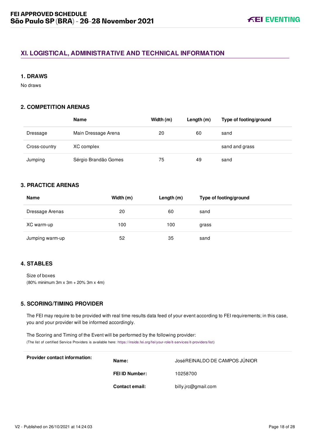# <span id="page-18-0"></span>**XI. LOGISTICAL, ADMINISTRATIVE AND TECHNICAL INFORMATION**

#### <span id="page-18-1"></span>**1. DRAWS**

No draws

## <span id="page-18-2"></span>**2. COMPETITION ARENAS**

|               | Name                 | Width (m) | Length (m) | Type of footing/ground |
|---------------|----------------------|-----------|------------|------------------------|
| Dressage      | Main Dressage Arena  | 20        | 60         | sand                   |
| Cross-country | XC complex           |           |            | sand and grass         |
| Jumping       | Sérgio Brandão Gomes | 75        | 49         | sand                   |

## <span id="page-18-3"></span>**3. PRACTICE ARENAS**

| <b>Name</b>     | Width (m) | Length $(m)$ | Type of footing/ground |
|-----------------|-----------|--------------|------------------------|
| Dressage Arenas | 20        | 60           | sand                   |
| XC warm-up      | 100       | 100          | grass                  |
| Jumping warm-up | 52        | 35           | sand                   |

## <span id="page-18-4"></span>**4. STABLES**

Size of boxes (80% minimum 3m x 3m + 20% 3m x 4m)

## <span id="page-18-5"></span>**5. SCORING/TIMING PROVIDER**

The FEI may require to be provided with real time results data feed of your event according to FEI requirements; in this case, you and your provider will be informed accordingly.

The Scoring and Timing of the Event will be performed by the following provider: (The list of certified Service Providers is available here: [https://inside.fei.org/fei/your-role/it-services/it-providers/list\)](https://inside.fei.org/fei/your-role/it-services/it-providers/list)

| <b>Provider contact information:</b><br>Name: |                       | JOSÉREINALDO DE CAMPOS JÚNIOR |  |
|-----------------------------------------------|-----------------------|-------------------------------|--|
|                                               | <b>FEI ID Number:</b> | 10258700                      |  |
|                                               | <b>Contact email:</b> | billy.jrc@gmail.com           |  |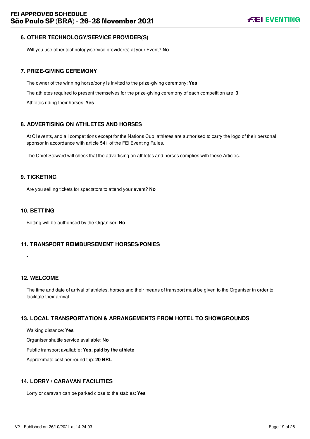## <span id="page-19-0"></span>**6. OTHER TECHNOLOGY/SERVICE PROVIDER(S)**

Will you use other technology/service provider(s) at your Event? **No**

#### <span id="page-19-1"></span>**7. PRIZE-GIVING CEREMONY**

The owner of the winning horse/pony is invited to the prize-giving ceremony: **Yes** The athletes required to present themselves for the prize-giving ceremony of each competition are: **3** Athletes riding their horses: **Yes**

## <span id="page-19-2"></span>**8. ADVERTISING ON ATHLETES AND HORSES**

At CI events, and all competitions except for the Nations Cup, athletes are authorised to carry the logo of their personal sponsor in accordance with article 541 of the FEI Eventing Rules.

The Chief Steward will check that the advertising on athletes and horses complies with these Articles.

#### <span id="page-19-3"></span>**9. TICKETING**

Are you selling tickets for spectators to attend your event? **No**

#### <span id="page-19-4"></span>**10. BETTING**

Betting will be authorised by the Organiser: **No**

#### <span id="page-19-5"></span>**11. TRANSPORT REIMBURSEMENT HORSES/PONIES**

<span id="page-19-6"></span>**12. WELCOME**

-

The time and date of arrival of athletes, horses and their means of transport must be given to the Organiser in order to facilitate their arrival.

#### <span id="page-19-7"></span>**13. LOCAL TRANSPORTATION & ARRANGEMENTS FROM HOTEL TO SHOWGROUNDS**

Walking distance: **Yes**

Organiser shuttle service available: **No**

Public transport available: **Yes, paid by the athlete**

Approximate cost per round trip: **20 BRL**

#### <span id="page-19-8"></span>**14. LORRY / CARAVAN FACILITIES**

Lorry or caravan can be parked close to the stables: **Yes**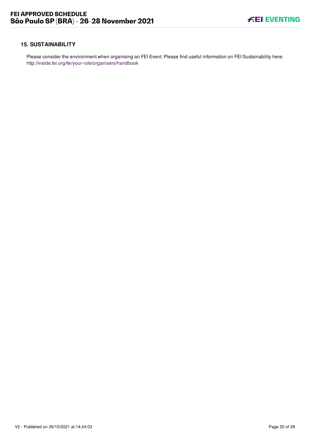#### <span id="page-20-0"></span>**15. SUSTAINABILITY**

Please consider the environment when organising an FEI Event. Please find useful information on FEI Sustainability here: <http://inside.fei.org/fei/your-role/organisers/handbook>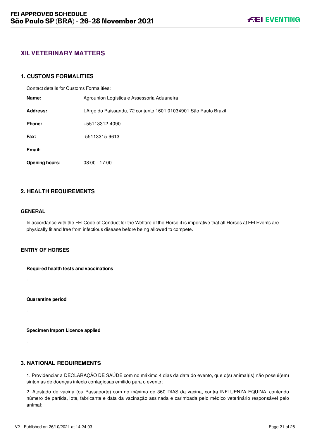# <span id="page-21-0"></span>**XII. VETERINARY MATTERS**

#### <span id="page-21-1"></span>**1. CUSTOMS FORMALITIES**

Contact details for Customs Formalities:

| Name:                 | Agrounion Logística e Assessoria Aduaneira                     |  |
|-----------------------|----------------------------------------------------------------|--|
| Address:              | LArgo do Paissandu, 72 conjunto 1601 01034901 São Paulo Brazil |  |
| Phone:                | +55113312-4090                                                 |  |
| <b>Fax:</b>           | -55113315-9613                                                 |  |
| Email:                |                                                                |  |
| <b>Opening hours:</b> | $08:00 - 17:00$                                                |  |

## <span id="page-21-2"></span>**2. HEALTH REQUIREMENTS**

#### **GENERAL**

-

-

-

In accordance with the FEI Code of Conduct for the Welfare of the Horse it is imperative that all Horses at FEI Events are physically fit and free from infectious disease before being allowed to compete.

## **ENTRY OF HORSES**

**Required health tests and vaccinations**

**Quarantine period**

**Specimen Import Licence applied**

#### <span id="page-21-3"></span>**3. NATIONAL REQUIREMENTS**

1. Providenciar a DECLARAÇÃO DE SAÚDE com no máximo 4 dias da data do evento, que o(s) animal(is) não possui(em) sintomas de doenças infecto contagiosas emitido para o evento;

2. Atestado de vacina (ou Passaporte) com no máximo de 360 DIAS da vacina, contra INFLUENZA EQUINA, contendo número de partida, lote, fabricante e data da vacinação assinada e carimbada pelo médico veterinário responsável pelo animal;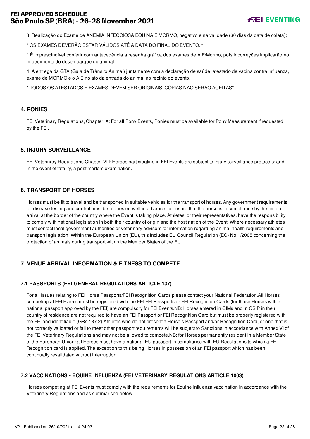# **FEI APPROVED SCHEDULE São Paulo SP (BRA) - 26-28 November 2021**

3. Realização do Exame de ANEMIA INFECCIOSA EQUINA E MORMO, negativo e na validade (60 dias da data de coleta);

\* OS EXAMES DEVERÃO ESTAR VÁLIDOS ATÉ A DATA DO FINAL DO EVENTO. \*

\* É imprescindível conferir com antecedência a resenha gráfica dos exames de AIE/Mormo, pois incorreções implicarão no impedimento do desembarque do animal.

4. A entrega da GTA (Guia de Trânsito Animal) juntamente com a declaração de saúde, atestado de vacina contra Influenza, exame de MORMO e o AIE no ato da entrada do animal no recinto do evento.

\* TODOS OS ATESTADOS E EXAMES DEVEM SER ORIGINAIS. CÓPIAS NÃO SERÃO ACEITAS\*

#### <span id="page-22-0"></span>**4. PONIES**

FEI Veterinary Regulations, Chapter IX: For all Pony Events, Ponies must be available for Pony Measurement if requested by the FEI.

#### <span id="page-22-1"></span>**5. INJURY SURVEILLANCE**

FEI Veterinary Regulations Chapter VIII: Horses participating in FEI Events are subject to injury surveillance protocols; and in the event of fatality, a post mortem examination.

#### <span id="page-22-2"></span>**6. TRANSPORT OF HORSES**

Horses must be fit to travel and be transported in suitable vehicles for the transport of horses. Any government requirements for disease testing and control must be requested well in advance, to ensure that the horse is in compliance by the time of arrival at the border of the country where the Event is taking place. Athletes, or their representatives, have the responsibility to comply with national legislation in both their country of origin and the host nation of the Event. Where necessary athletes must contact local government authorities or veterinary advisors for information regarding animal health requirements and transport legislation. Within the European Union (EU), this includes EU Council Regulation (EC) No 1/2005 concerning the protection of animals during transport within the Member States of the EU.

## <span id="page-22-3"></span>**7. VENUE ARRIVAL INFORMATION & FITNESS TO COMPETE**

#### <span id="page-22-4"></span>**7.1 PASSPORTS (FEI GENERAL REGULATIONS ARTICLE 137)**

For all issues relating to FEI Horse Passports/FEI Recognition Cards please contact your National Federation.All Horses competing at FEI Events must be registered with the FEI.FEI Passports or FEI Recognition Cards (for those Horses with a national passport approved by the FEI) are compulsory for FEI Events.NB: Horses entered in CIMs and in CSIP in their country of residence are not required to have an FEI Passport or FEI Recognition Card but must be properly registered with the FEI and identifiable (GRs 137.2).Athletes who do not present a Horse's Passport and/or Recognition Card, or one that is not correctly validated or fail to meet other passport requirements will be subject to Sanctions in accordance with Annex VI of the FEI Veterinary Regulations and may not be allowed to compete.NB: for Horses permanently resident in a Member State of the European Union: all Horses must have a national EU passport in compliance with EU Regulations to which a FEI Recognition card is applied. The exception to this being Horses in possession of an FEI passport which has been continually revalidated without interruption.

#### <span id="page-22-5"></span>**7.2 VACCINATIONS - EQUINE INFLUENZA (FEI VETERINARY REGULATIONS ARTICLE 1003)**

Horses competing at FEI Events must comply with the requirements for Equine Influenza vaccination in accordance with the Veterinary Regulations and as summarised below.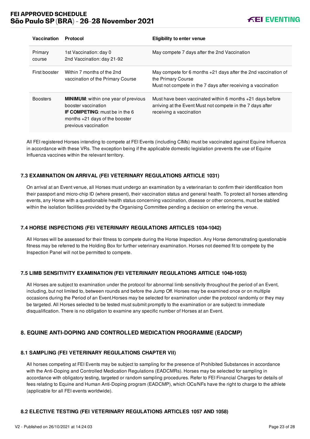# **FEI APPROVED SCHEDULE São Paulo SP (BRA) - 26-28 November 2021**



| Vaccination       | Protocol                                                                                                                                                                | <b>Eligibility to enter venue</b>                                                                                                                      |
|-------------------|-------------------------------------------------------------------------------------------------------------------------------------------------------------------------|--------------------------------------------------------------------------------------------------------------------------------------------------------|
| Primary<br>course | 1st Vaccination: day 0<br>2nd Vaccination: day 21-92                                                                                                                    | May compete 7 days after the 2nd Vaccination                                                                                                           |
| First booster     | Within 7 months of the 2nd<br>vaccination of the Primary Course                                                                                                         | May compete for 6 months $+21$ days after the 2nd vaccination of<br>the Primary Course<br>Must not compete in the 7 days after receiving a vaccination |
| <b>Boosters</b>   | <b>MINIMUM:</b> within one year of previous<br>booster vaccination<br><b>IF COMPETING:</b> must be in the 6<br>months $+21$ days of the booster<br>previous vaccination | Must have been vaccinated within 6 months $+21$ days before<br>arriving at the Event Must not compete in the 7 days after<br>receiving a vaccination   |

All FEI registered Horses intending to compete at FEI Events (including CIMs) must be vaccinated against Equine Influenza in accordance with these VRs. The exception being if the applicable domestic legislation prevents the use of Equine Influenza vaccines within the relevant territory.

#### <span id="page-23-0"></span>**7.3 EXAMINATION ON ARRIVAL (FEI VETERINARY REGULATIONS ARTICLE 1031)**

On arrival at an Event venue, all Horses must undergo an examination by a veterinarian to confirm their identification from their passport and micro-chip ID (where present), their vaccination status and general health. To protect all horses attending events, any Horse with a questionable health status concerning vaccination, disease or other concerns, must be stabled within the isolation facilities provided by the Organising Committee pending a decision on entering the venue.

#### <span id="page-23-1"></span>**7.4 HORSE INSPECTIONS (FEI VETERINARY REGULATIONS ARTICLES 1034-1042)**

All Horses will be assessed for their fitness to compete during the Horse Inspection. Any Horse demonstrating questionable fitness may be referred to the Holding Box for further veterinary examination. Horses not deemed fit to compete by the Inspection Panel will not be permitted to compete.

#### <span id="page-23-2"></span>**7.5 LIMB SENSITIVITY EXAMINATION (FEI VETERINARY REGULATIONS ARTICLE 1048-1053)**

All Horses are subject to examination under the protocol for abnormal limb sensitivity throughout the period of an Event, including, but not limited to, between rounds and before the Jump Off. Horses may be examined once or on multiple occasions during the Period of an Event.Horses may be selected for examination under the protocol randomly or they may be targeted. All Horses selected to be tested must submit promptly to the examination or are subject to immediate disqualification. There is no obligation to examine any specific number of Horses at an Event.

## <span id="page-23-3"></span>**8. EQUINE ANTI-DOPING AND CONTROLLED MEDICATION PROGRAMME (EADCMP)**

#### <span id="page-23-4"></span>**8.1 SAMPLING (FEI VETERINARY REGULATIONS CHAPTER VII)**

All horses competing at FEI Events may be subject to sampling for the presence of Prohibited Substances in accordance with the Anti-Doping and Controlled Medication Regulations (EADCMRs). Horses may be selected for sampling in accordance with obligatory testing, targeted or random sampling procedures. Refer to FEI Financial Charges for details of fees relating to Equine and Human Anti-Doping program (EADCMP), which OCs/NFs have the right to charge to the athlete (applicable for all FEI events worldwide).

#### <span id="page-23-5"></span>**8.2 ELECTIVE TESTING (FEI VETERINARY REGULATIONS ARTICLES 1057 AND 1058)**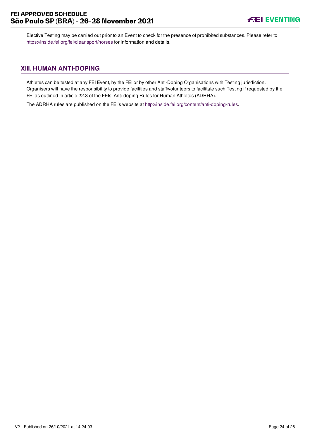<span id="page-24-0"></span>Elective Testing may be carried out prior to an Event to check for the presence of prohibited substances. Please refer to <https://inside.fei.org/fei/cleansport/horses>for information and details.

# **XIII. HUMAN ANTI-DOPING**

Athletes can be tested at any FEI Event, by the FEI or by other Anti-Doping Organisations with Testing jurisdiction. Organisers will have the responsibility to provide facilities and staff/volunteers to facilitate such Testing if requested by the FEI as outlined in article 22.3 of the FEIs' Anti-doping Rules for Human Athletes (ADRHA).

The ADRHA rules are published on the FEI's website at [http://inside.fei.org/content/anti-doping-rules.](http://inside.fei.org/content/anti-doping-rules)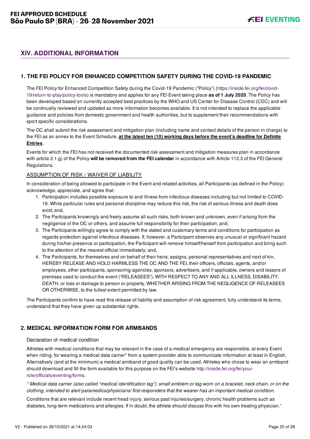# <span id="page-25-0"></span>**XIV. ADDITIONAL INFORMATION**

## <span id="page-25-1"></span>**1. THE FEI POLICY FOR ENHANCED COMPETITION SAFETY DURING THE COVID-19 PANDEMIC**

[The FEI Policy for Enhanced Competition Safety during the Covid-19 Pandemic \("Policy"\) \(https://inside.fei.org/fei/covid-](https://inside.fei.org/fei/covid-19/return-to-play/policy-tools)19/return-to-play/policy-tools) is mandatory and applies for any FEI Event taking place **as of 1 July 2020**. The Policy has been developed based on currently accepted best practices by the WHO and US Center for Disease Control (CDC) and will be continually reviewed and updated as more information becomes available. It is not intended to replace the applicable guidance and policies from domestic government and health authorities, but to supplement their recommendations with sport specific considerations.

The OC shall submit the risk assessment and mitigation plan (including name and contact details of the person in charge) to the FEI as an annex to the Event Schedule, **at the latest ten (10) working days before the event's deadline for Definite Entries**.

Events for which the FEI has not received the documented risk assessment and mitigation measures plan in accordance with article 2.1.g) of the Policy **will be removed from the FEI calendar** in accordance with Article 112.3 of the FEI General Regulations.

#### ASSUMPTION OF RISK / WAIVER OF LIABILITY

In consideration of being allowed to participate in the Event and related activities, all Participants (as defined in the Policy) acknowledge, appreciate, and agree that:

- 1. Participation includes possible exposure to and illness from infectious diseases including but not limited to COVID-19. While particular rules and personal discipline may reduce this risk, the risk of serious illness and death does exist; and,
- 2. The Participants knowingly and freely assume all such risks, both known and unknown, even if arising from the negligence of the OC or others, and assume full responsibility for their participation; and,
- 3. The Participants willingly agree to comply with the stated and customary terms and conditions for participation as regards protection against infectious diseases. If, however, a Participant observes any unusual or significant hazard during his/her presence or participation, the Participant will remove himself/herself from participation and bring such to the attention of the nearest official immediately; and,
- 4. The Participants, for themselves and on behalf of their heirs, assigns, personal representatives and next of kin, HEREBY RELEASE AND HOLD HARMLESS THE OC AND THE FEI, their officers, officials, agents, and/or employees, other participants, sponsoring agencies, sponsors, advertisers, and if applicable, owners and lessors of premises used to conduct the event ("RELEASEES"), WITH RESPECT TO ANY AND ALL ILLNESS, DISABILITY, DEATH, or loss or damage to person or property, WHETHER ARISING FROM THE NEGLIGENCE OF RELEASEES OR OTHERWISE, to the fullest extent permitted by law.

The Participants confirm to have read this release of liability and assumption of risk agreement, fully understand its terms, understand that they have given up substantial rights.

## <span id="page-25-2"></span>**2. MEDICAL INFORMATION FORM FOR ARMBANDS**

#### Declaration of medical condition

Athletes with medical conditions that may be relevant in the case of a medical emergency are responsible, at every Event when riding, for wearing a medical data carrier\* from a system provider able to communicate information at least in English. Alternatively (and at the minimum) a medical armband of good quality can be used. Athletes who chose to wear an armband [should download and fill the form available for this purpose on the FEI's website http://inside.fei.org/fei/your](http://inside.fei.org/fei/your-role/officials/eventing/forms)role/officials/eventing/forms.

*\* Medical data carrier (also called "medical identification tag"): small emblem or tag worn on a bracelet, neck chain, or on the clothing, intended to alert paramedics/physicians/ first responders that the wearer has an important medical condition.*

Conditions that are relevant include recent head injury, serious past injuries/surgery, chronic health problems such as diabetes, long-term medications and allergies. If in doubt, the athlete should discuss this with his own treating physician."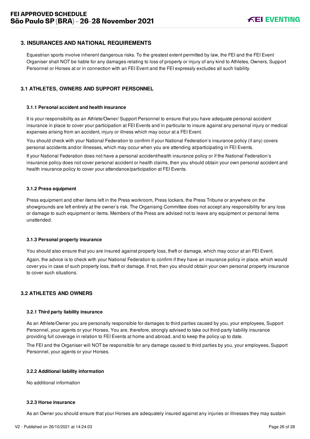## <span id="page-26-0"></span>**3. INSURANCES AND NATIONAL REQUIREMENTS**

Equestrian sports involve inherent dangerous risks. To the greatest extent permitted by law, the FEI and the FEI Event Organiser shall NOT be liable for any damages relating to loss of property or injury of any kind to Athletes, Owners, Support Personnel or Horses at or in connection with an FEI Event and the FEI expressly excludes all such liability.

#### <span id="page-26-1"></span>**3.1 ATHLETES, OWNERS AND SUPPORT PERSONNEL**

#### **3.1.1 Personal accident and health insurance**

It is your responsibility as an Athlete/Owner/ Support Personnel to ensure that you have adequate personal accident insurance in place to cover your participation at FEI Events and in particular to insure against any personal injury or medical expenses arising from an accident, injury or illness which may occur at a FEI Event.

You should check with your National Federation to confirm if your National Federation's insurance policy (if any) covers personal accidents and/or illnesses, which may occur when you are attending at/participating in FEI Events.

If your National Federation does not have a personal accident/health insurance policy or if the National Federation's insurance policy does not cover personal accident or health claims, then you should obtain your own personal accident and health insurance policy to cover your attendance/participation at FEI Events.

#### **3.1.2 Press equipment**

Press equipment and other items left in the Press workroom, Press lockers, the Press Tribune or anywhere on the showgrounds are left entirely at the owner's risk. The Organising Committee does not accept any responsibility for any loss or damage to such equipment or items. Members of the Press are advised not to leave any equipment or personal items unattended.

#### **3.1.3 Personal property insurance**

You should also ensure that you are insured against property loss, theft or damage, which may occur at an FEI Event.

Again, the advice is to check with your National Federation to confirm if they have an insurance policy in place, which would cover you in case of such property loss, theft or damage. If not, then you should obtain your own personal property insurance to cover such situations.

#### <span id="page-26-2"></span>**3.2 ATHLETES AND OWNERS**

#### **3.2.1 Third party liability insurance**

As an Athlete/Owner you are personally responsible for damages to third parties caused by you, your employees, Support Personnel, your agents or your Horses. You are, therefore, strongly advised to take out third-party liability insurance providing full coverage in relation to FEI Events at home and abroad, and to keep the policy up to date.

The FEI and the Organiser will NOT be responsible for any damage caused to third parties by you, your employees, Support Personnel, your agents or your Horses.

#### **3.2.2 Additional liability information**

No additional information

#### **3.2.3 Horse insurance**

As an Owner you should ensure that your Horses are adequately insured against any injuries or illnesses they may sustain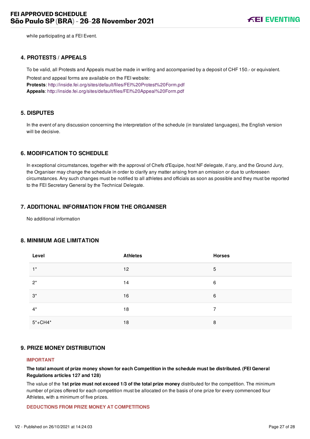while participating at a FEI Event.

#### <span id="page-27-0"></span>**4. PROTESTS / APPEALS**

To be valid, all Protests and Appeals must be made in writing and accompanied by a deposit of CHF 150.- or equivalent.

Protest and appeal forms are available on the FEI website: **Protests**:<http://inside.fei.org/sites/default/files/FEI%20Protest%20Form.pdf> **Appeals**:<http://inside.fei.org/sites/default/files/FEI%20Appeal%20Form.pdf>

#### <span id="page-27-1"></span>**5. DISPUTES**

In the event of any discussion concerning the interpretation of the schedule (in translated languages), the English version will be decisive.

#### <span id="page-27-2"></span>**6. MODIFICATION TO SCHEDULE**

In exceptional circumstances, together with the approval of Chefs d'Equipe, host NF delegate, if any, and the Ground Jury, the Organiser may change the schedule in order to clarify any matter arising from an omission or due to unforeseen circumstances. Any such changes must be notified to all athletes and officials as soon as possible and they must be reported to the FEI Secretary General by the Technical Delegate.

#### <span id="page-27-3"></span>**7. ADDITIONAL INFORMATION FROM THE ORGANISER**

No additional information

#### <span id="page-27-4"></span>**8. MINIMUM AGE LIMITATION**

| Level       | <b>Athletes</b> | <b>Horses</b> |
|-------------|-----------------|---------------|
| $1^*$       | 12              | 5             |
| $2^*$       | 14              | 6             |
| $3^*$       | 16              | 6             |
| $4^*$       | 18              | 7             |
| $5* + CH4*$ | 18              | 8             |

#### <span id="page-27-5"></span>**9. PRIZE MONEY DISTRIBUTION**

#### **IMPORTANT**

**The total amount of prize money shown for each Competition in the schedule must be distributed. (FEI General Regulations articles 127 and 128)**

The value of the **1st prize must not exceed 1/3 of the total prize money** distributed for the competition. The minimum number of prizes offered for each competition must be allocated on the basis of one prize for every commenced four Athletes, with a minimum of five prizes.

#### **DEDUCTIONS FROM PRIZE MONEY AT COMPETITIONS**